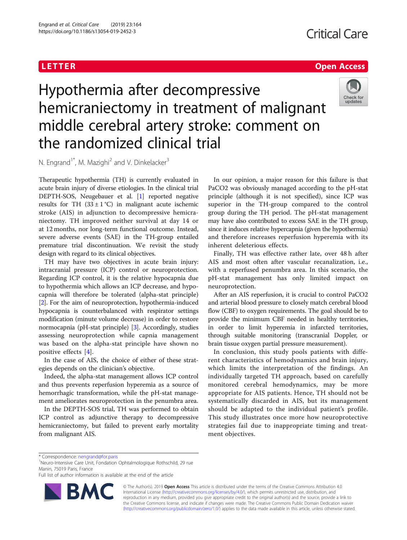## **LETTER CONSTRUCTION CONSTRUCTS CONSTRUCTS**

# Hypothermia after decompressive hemicraniectomy in treatment of malignant middle cerebral artery stroke: comment on the randomized clinical trial



N. Engrand<sup>1\*</sup>, M. Mazighi<sup>2</sup> and V. Dinkelacker<sup>3</sup>

Therapeutic hypothermia (TH) is currently evaluated in acute brain injury of diverse etiologies. In the clinical trial DEPTH-SOS, Neugebauer et al. [\[1](#page-1-0)] reported negative results for TH  $(33 \pm 1 \degree C)$  in malignant acute ischemic stroke (AIS) in adjunction to decompressive hemicraniectomy. TH improved neither survival at day 14 or at 12 months, nor long-term functional outcome. Instead, severe adverse events (SAE) in the TH-group entailed premature trial discontinuation. We revisit the study design with regard to its clinical objectives.

TH may have two objectives in acute brain injury: intracranial pressure (ICP) control or neuroprotection. Regarding ICP control, it is the relative hypocapnia due to hypothermia which allows an ICP decrease, and hypocapnia will therefore be tolerated (alpha-stat principle) [[2\]](#page-1-0). For the aim of neuroprotection, hypothermia-induced hypocapnia is counterbalanced with respirator settings modification (minute volume decrease) in order to restore normocapnia (pH-stat principle) [\[3](#page-1-0)]. Accordingly, studies assessing neuroprotection while capnia management was based on the alpha-stat principle have shown no positive effects [[4\]](#page-1-0).

In the case of AIS, the choice of either of these strategies depends on the clinician's objective.

Indeed, the alpha-stat management allows ICP control and thus prevents reperfusion hyperemia as a source of hemorrhagic transformation, while the pH-stat management ameliorates neuroprotection in the penumbra area.

In the DEPTH-SOS trial, TH was performed to obtain ICP control as adjunctive therapy to decompressive hemicraniectomy, but failed to prevent early mortality from malignant AIS.

In our opinion, a major reason for this failure is that PaCO2 was obviously managed according to the pH-stat principle (although it is not specified), since ICP was superior in the TH-group compared to the control group during the TH period. The pH-stat management may have also contributed to excess SAE in the TH group, since it induces relative hypercapnia (given the hypothermia) and therefore increases reperfusion hyperemia with its inherent deleterious effects.

Finally, TH was effective rather late, over 48 h after AIS and most often after vascular recanalization, i.e., with a reperfused penumbra area. In this scenario, the pH-stat management has only limited impact on neuroprotection.

After an AIS reperfusion, it is crucial to control PaCO2 and arterial blood pressure to closely match cerebral blood flow (CBF) to oxygen requirements. The goal should be to provide the minimum CBF needed in healthy territories, in order to limit hyperemia in infarcted territories, through suitable monitoring (transcranial Doppler, or brain tissue oxygen partial pressure measurement).

In conclusion, this study pools patients with different characteristics of hemodynamics and brain injury, which limits the interpretation of the findings. An individually targeted TH approach, based on carefully monitored cerebral hemodynamics, may be more appropriate for AIS patients. Hence, TH should not be systematically discarded in AIS, but its management should be adapted to the individual patient's profile. This study illustrates once more how neuroprotective strategies fail due to inappropriate timing and treatment objectives.

Full list of author information is available at the end of the article



© The Author(s). 2019 Open Access This article is distributed under the terms of the Creative Commons Attribution 4.0 International License [\(http://creativecommons.org/licenses/by/4.0/](http://creativecommons.org/licenses/by/4.0/)), which permits unrestricted use, distribution, and reproduction in any medium, provided you give appropriate credit to the original author(s) and the source, provide a link to the Creative Commons license, and indicate if changes were made. The Creative Commons Public Domain Dedication waiver [\(http://creativecommons.org/publicdomain/zero/1.0/](http://creativecommons.org/publicdomain/zero/1.0/)) applies to the data made available in this article, unless otherwise stated.

<sup>\*</sup> Correspondence: [nengrand@for.paris](mailto:nengrand@for.paris) <sup>1</sup>

<sup>&</sup>lt;sup>1</sup>Neuro-Intensive Care Unit, Fondation Ophtalmologique Rothschild, 29 rue Manin, 75019 Paris, France